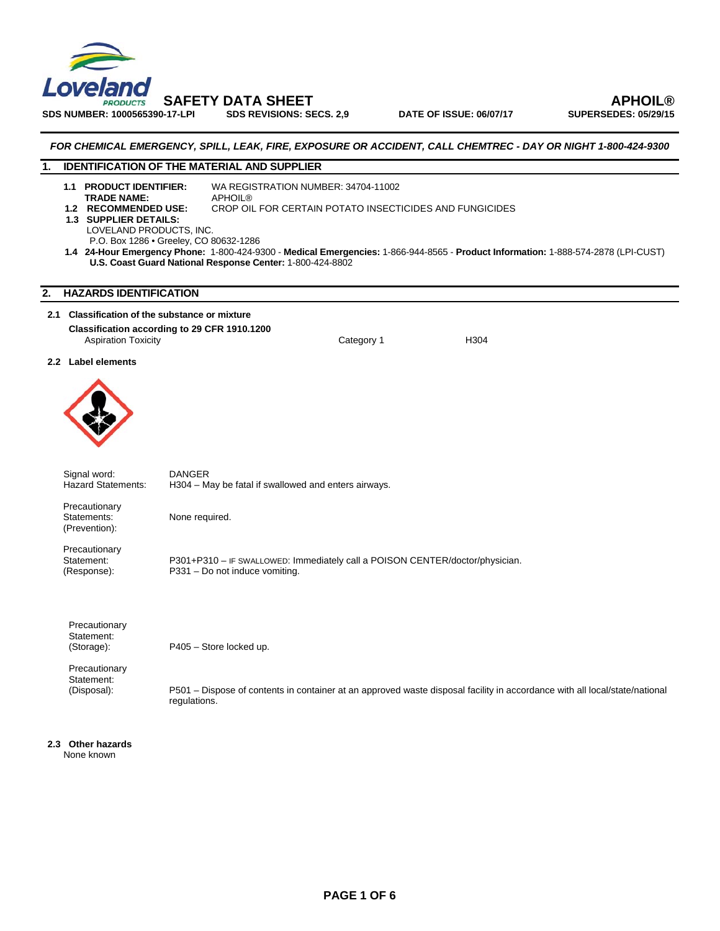

**SDS NUMBER: 1000565390-17-LPI SDS REVISIONS: SECS. 2,9 DATE OF ISSUE: 06/07/17 SUPERSEDES: 05/29/15** 

 **SAFETY DATA SHEET APHOIL®** 

## *FOR CHEMICAL EMERGENCY, SPILL, LEAK, FIRE, EXPOSURE OR ACCIDENT, CALL CHEMTREC - DAY OR NIGHT 1-800-424-9300*

## **1. IDENTIFICATION OF THE MATERIAL AND SUPPLIER**

- **1.1 PRODUCT IDENTIFIER:** WA REGISTRATION NUMBER: 34704-11002 **TRADE NAME:**<br>**1.2** RECOMMENDED USE: **CROP OIL FOR CERTAIN POTATO INSECTICIDES AND FUNGICIDES**
- **1.3 SUPPLIER DETAILS:** 
	- LOVELAND PRODUCTS, INC.
	- P.O. Box 1286 Greeley, CO 80632-1286
- **1.4 24-Hour Emergency Phone:** 1-800-424-9300 **Medical Emergencies:** 1-866-944-8565 **Product Information:** 1-888-574-2878 (LPI-CUST) **U.S. Coast Guard National Response Center:** 1-800-424-8802

## **2. HAZARDS IDENTIFICATION**

## **2.1 Classification of the substance or mixture Classification according to 29 CFR 1910.1200**

Aspiration Toxicity Category 1 H304

## **2.2 Label elements**



Signal word: DANGER<br>Hazard Statements: H304 - M H304 – May be fatal if swallowed and enters airways.

 Precautionary (Prevention):

Statements: None required.

Precautionary<br>Statement:

Statement: P301+P310 – IF SWALLOWED: Immediately call a POISON CENTER/doctor/physician.<br>(Response): P331 – Do not induce vomiting. P331 – Do not induce vomiting.

 Precautionary Statement:

(Storage): P405 – Store locked up.

Precautionary Statement:

(Disposal): P501 – Dispose of contents in container at an approved waste disposal facility in accordance with all local/state/national regulations.

**2.3 Other hazards**  None known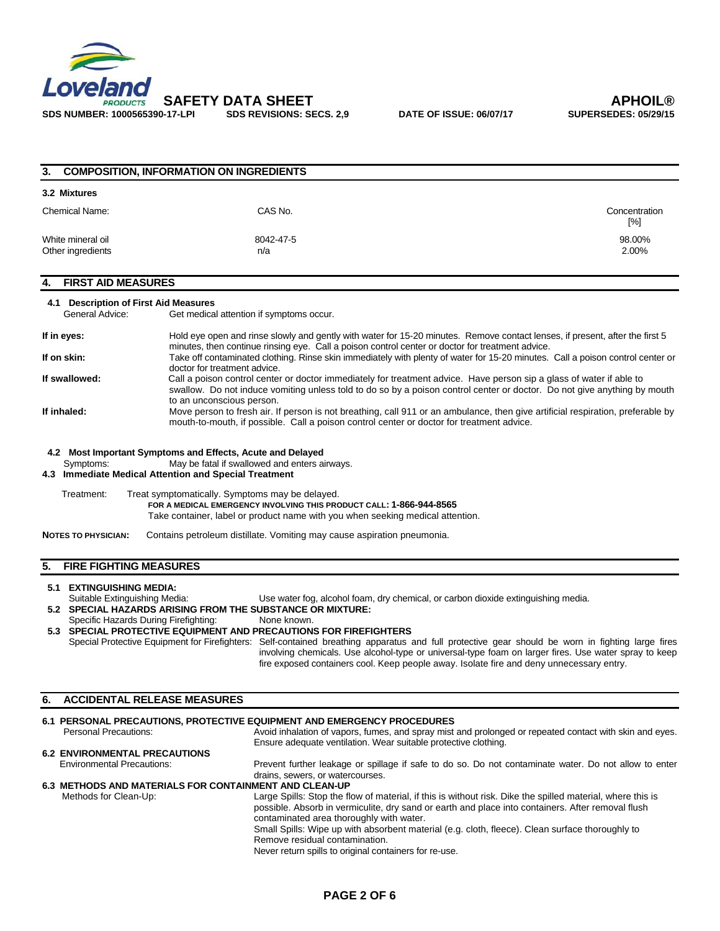

| 3.                                                                                                        | <b>COMPOSITION, INFORMATION ON INGREDIENTS</b>                                                                                                                                                                                                                                                                                                                                                                                                                                                                                                                                                                                                                                                                                                                                                                                                                                                                      |                      |
|-----------------------------------------------------------------------------------------------------------|---------------------------------------------------------------------------------------------------------------------------------------------------------------------------------------------------------------------------------------------------------------------------------------------------------------------------------------------------------------------------------------------------------------------------------------------------------------------------------------------------------------------------------------------------------------------------------------------------------------------------------------------------------------------------------------------------------------------------------------------------------------------------------------------------------------------------------------------------------------------------------------------------------------------|----------------------|
| 3.2 Mixtures                                                                                              |                                                                                                                                                                                                                                                                                                                                                                                                                                                                                                                                                                                                                                                                                                                                                                                                                                                                                                                     |                      |
| <b>Chemical Name:</b>                                                                                     | CAS No.                                                                                                                                                                                                                                                                                                                                                                                                                                                                                                                                                                                                                                                                                                                                                                                                                                                                                                             | Concentration<br>[%] |
| White mineral oil<br>Other ingredients                                                                    | 8042-47-5<br>n/a                                                                                                                                                                                                                                                                                                                                                                                                                                                                                                                                                                                                                                                                                                                                                                                                                                                                                                    | 98.00%<br>2.00%      |
| <b>FIRST AID MEASURES</b><br>4.                                                                           |                                                                                                                                                                                                                                                                                                                                                                                                                                                                                                                                                                                                                                                                                                                                                                                                                                                                                                                     |                      |
| 4.1 Description of First Aid Measures<br>General Advice:                                                  | Get medical attention if symptoms occur.                                                                                                                                                                                                                                                                                                                                                                                                                                                                                                                                                                                                                                                                                                                                                                                                                                                                            |                      |
| If in eyes:<br>If on skin:<br>If swallowed:<br>If inhaled:                                                | Hold eye open and rinse slowly and gently with water for 15-20 minutes. Remove contact lenses, if present, after the first 5<br>minutes, then continue rinsing eye. Call a poison control center or doctor for treatment advice.<br>Take off contaminated clothing. Rinse skin immediately with plenty of water for 15-20 minutes. Call a poison control center or<br>doctor for treatment advice.<br>Call a poison control center or doctor immediately for treatment advice. Have person sip a glass of water if able to<br>swallow. Do not induce vomiting unless told to do so by a poison control center or doctor. Do not give anything by mouth<br>to an unconscious person.<br>Move person to fresh air. If person is not breathing, call 911 or an ambulance, then give artificial respiration, preferable by<br>mouth-to-mouth, if possible. Call a poison control center or doctor for treatment advice. |                      |
| Symptoms:<br>Treatment:<br><b>NOTES TO PHYSICIAN:</b>                                                     | May be fatal if swallowed and enters airways.<br>4.3 Immediate Medical Attention and Special Treatment<br>Treat symptomatically. Symptoms may be delayed.<br>FOR A MEDICAL EMERGENCY INVOLVING THIS PRODUCT CALL: 1-866-944-8565<br>Take container, label or product name with you when seeking medical attention.<br>Contains petroleum distillate. Vomiting may cause aspiration pneumonia.                                                                                                                                                                                                                                                                                                                                                                                                                                                                                                                       |                      |
| <b>FIRE FIGHTING MEASURES</b><br>5.                                                                       |                                                                                                                                                                                                                                                                                                                                                                                                                                                                                                                                                                                                                                                                                                                                                                                                                                                                                                                     |                      |
| 5.1 EXTINGUISHING MEDIA:<br>Suitable Extinguishing Media:<br>Specific Hazards During Firefighting:        | Use water fog, alcohol foam, dry chemical, or carbon dioxide extinguishing media.<br>5.2 SPECIAL HAZARDS ARISING FROM THE SUBSTANCE OR MIXTURE:<br>None known.<br>5.3 SPECIAL PROTECTIVE EQUIPMENT AND PRECAUTIONS FOR FIREFIGHTERS<br>Special Protective Equipment for Firefighters: Self-contained breathing apparatus and full protective gear should be worn in fighting large fires<br>involving chemicals. Use alcohol-type or universal-type foam on larger fires. Use water spray to keep<br>fire exposed containers cool. Keep people away. Isolate fire and deny unnecessary entry.                                                                                                                                                                                                                                                                                                                       |                      |
| <b>ACCIDENTAL RELEASE MEASURES</b><br>6.                                                                  |                                                                                                                                                                                                                                                                                                                                                                                                                                                                                                                                                                                                                                                                                                                                                                                                                                                                                                                     |                      |
| <b>Personal Precautions:</b><br><b>6.2 ENVIRONMENTAL PRECAUTIONS</b><br><b>Environmental Precautions:</b> | 6.1 PERSONAL PRECAUTIONS, PROTECTIVE EQUIPMENT AND EMERGENCY PROCEDURES<br>Avoid inhalation of vapors, fumes, and spray mist and prolonged or repeated contact with skin and eyes.<br>Ensure adequate ventilation. Wear suitable protective clothing.<br>Prevent further leakage or spillage if safe to do so. Do not contaminate water. Do not allow to enter<br>drains, sewers, or watercourses.<br>6.3 METHODS AND MATERIALS FOR CONTAINMENT AND CLEAN-UP                                                                                                                                                                                                                                                                                                                                                                                                                                                        |                      |
| Methods for Clean-Up:                                                                                     | Large Spills: Stop the flow of material, if this is without risk. Dike the spilled material, where this is<br>possible. Absorb in vermiculite, dry sand or earth and place into containers. After removal flush<br>contaminated area thoroughly with water.                                                                                                                                                                                                                                                                                                                                                                                                                                                                                                                                                                                                                                                         |                      |

Small Spills: Wipe up with absorbent material (e.g. cloth, fleece). Clean surface thoroughly to Remove residual contamination.

Never return spills to original containers for re-use.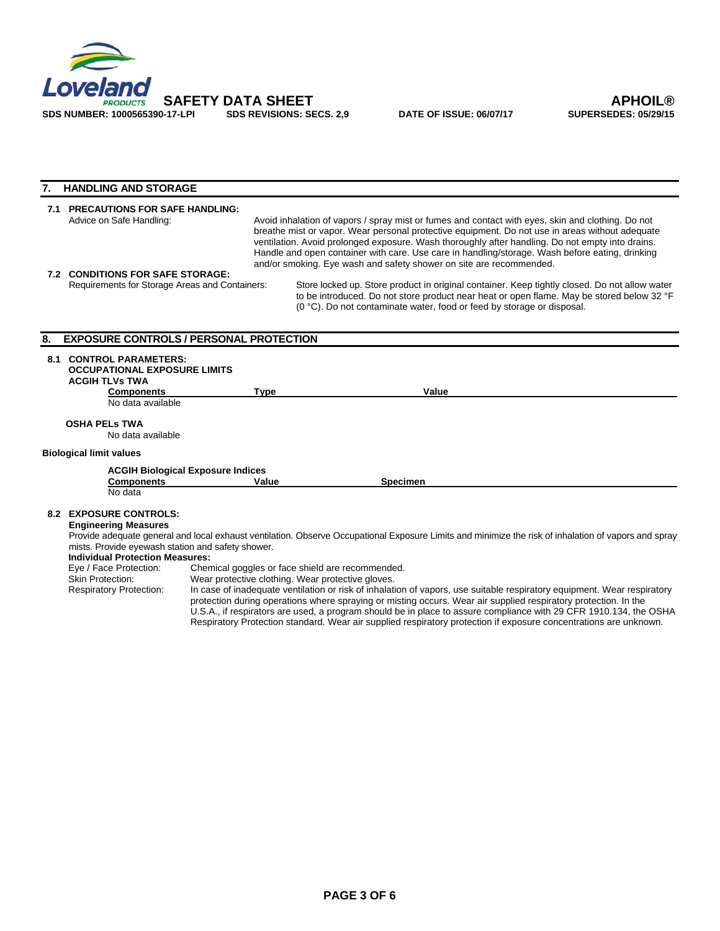

## **7. HANDLING AND STORAGE**

## **7.1 PRECAUTIONS FOR SAFE HANDLING:**  Avoid inhalation of vapors / spray mist or fumes and contact with eyes, skin and clothing. Do not breathe mist or vapor. Wear personal protective equipment. Do not use in areas without adequate ventilation. Avoid prolonged exposure. Wash thoroughly after handling. Do not empty into drains. Handle and open container with care. Use care in handling/storage. Wash before eating, drinking and/or smoking. Eye wash and safety shower on site are recommended.

**7.2 CONDITIONS FOR SAFE STORAGE:** 

Store locked up. Store product in original container. Keep tightly closed. Do not allow water to be introduced. Do not store product near heat or open flame. May be stored below 32 °F (0 °C). Do not contaminate water, food or feed by storage or disposal.

## **8. EXPOSURE CONTROLS / PERSONAL PROTECTION**

## **8.1 CONTROL PARAMETERS:**

 **OCCUPATIONAL EXPOSURE LIMITS ACGIH TLVs TWA Components** Type **Type** Value

No data available

**OSHA PELs TWA** 

No data available

## **Biological limit values**

## **ACGIH Biological Exposure Indices**

**Components** Value Value Specimen

No data

#### **8.2 EXPOSURE CONTROLS: Engineering Measures**

Provide adequate general and local exhaust ventilation. Observe Occupational Exposure Limits and minimize the risk of inhalation of vapors and spray mists. Provide eyewash station and safety shower.

## **Individual Protection Measures:**

|                                | Eye / Face Protection:  | Chemical goggles or face shield are recommended.                                                                        |  |
|--------------------------------|-------------------------|-------------------------------------------------------------------------------------------------------------------------|--|
|                                | <b>Skin Protection:</b> | Wear protective clothing. Wear protective gloves.                                                                       |  |
| <b>Respiratory Protection:</b> |                         | In case of inadequate ventilation or risk of inhalation of vapors, use suitable respiratory equipment. Wear respiratory |  |
|                                |                         | protection during operations where spraying or misting occurs. Wear air supplied respiratory protection. In the         |  |
|                                |                         | U.S.A., if respirators are used, a program should be in place to assure compliance with 29 CFR 1910.134, the OSHA       |  |
|                                |                         | Respiratory Protection standard. Wear air supplied respiratory protection if exposure concentrations are unknown.       |  |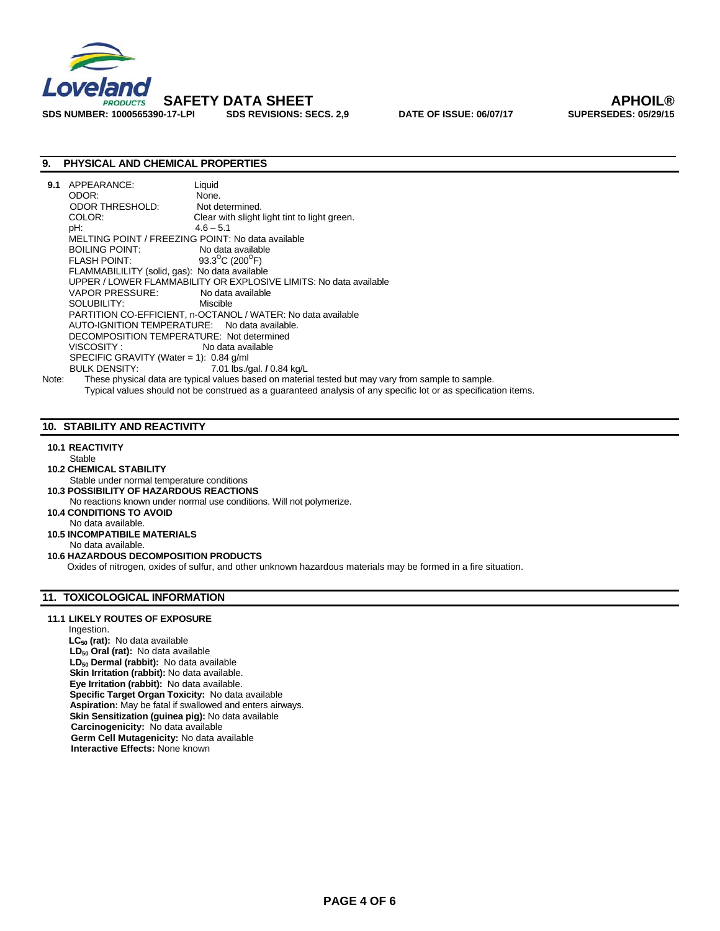

SDS NUMBER: 1000565390-17-LPI SDS REVISIONS: SECS. 2,9 DATE OF ISSUE: 06/07/17

## **9. PHYSICAL AND CHEMICAL PROPERTIES**

| 9.1   | APPEARANCE:                                       | Liquid                                                                                              |  |  |
|-------|---------------------------------------------------|-----------------------------------------------------------------------------------------------------|--|--|
|       | ODOR:                                             | None.                                                                                               |  |  |
|       | <b>ODOR THRESHOLD:</b>                            | Not determined.                                                                                     |  |  |
|       | COLOR:                                            | Clear with slight light tint to light green.                                                        |  |  |
|       | pH:                                               | $4.6 - 5.1$                                                                                         |  |  |
|       | MELTING POINT / FREEZING POINT: No data available |                                                                                                     |  |  |
|       | BOILING POINT:                                    | No data available                                                                                   |  |  |
|       | <b>FLASH POINT:</b>                               | 93.3 <sup>°</sup> C (200 <sup>°</sup> F)                                                            |  |  |
|       | FLAMMABILILITY (solid, gas): No data available    |                                                                                                     |  |  |
|       |                                                   | UPPER / LOWER FLAMMABILITY OR EXPLOSIVE LIMITS: No data available                                   |  |  |
|       | VAPOR PRESSURE:                                   | No data available                                                                                   |  |  |
|       | SOLUBILITY:                                       | Miscible                                                                                            |  |  |
|       |                                                   | PARTITION CO-EFFICIENT, n-OCTANOL / WATER: No data available                                        |  |  |
|       | AUTO-IGNITION TEMPERATURE: No data available.     |                                                                                                     |  |  |
|       | DECOMPOSITION TEMPERATURE: Not determined         |                                                                                                     |  |  |
|       | VISCOSITY :                                       | No data available                                                                                   |  |  |
|       | SPECIFIC GRAVITY (Water = 1): $0.84$ g/ml         |                                                                                                     |  |  |
|       | BULK DENSITY: NOTES                               | 7.01 lbs./gal. / 0.84 kg/L                                                                          |  |  |
| Note: |                                                   | These physical data are typical values based on material tested but may vary from sample to sample. |  |  |

Typical values should not be construed as a guaranteed analysis of any specific lot or as specification items.

## **10. STABILITY AND REACTIVITY**

## **10.1 REACTIVITY**

- Stable
- **10.2 CHEMICAL STABILITY**
- Stable under normal temperature conditions **10.3 POSSIBILITY OF HAZARDOUS REACTIONS**
- No reactions known under normal use conditions. Will not polymerize.
- **10.4 CONDITIONS TO AVOID**
- No data available.
- **10.5 INCOMPATIBILE MATERIALS** No data available.
- **10.6 HAZARDOUS DECOMPOSITION PRODUCTS**

Oxides of nitrogen, oxides of sulfur, and other unknown hazardous materials may be formed in a fire situation.

## **11. TOXICOLOGICAL INFORMATION**

#### **11.1 LIKELY ROUTES OF EXPOSURE**

Ingestion. LC<sub>50</sub> (rat): No data available LD<sub>50</sub> Oral (rat): No data available  **LD50 Dermal (rabbit):** No data available **Skin Irritation (rabbit):** No data available.  **Eye Irritation (rabbit):** No data available.  **Specific Target Organ Toxicity:** No data available **Aspiration:** May be fatal if swallowed and enters airways. **Skin Sensitization (guinea pig):** No data available  **Carcinogenicity:** No data available **Germ Cell Mutagenicity:** No data available **Interactive Effects:** None known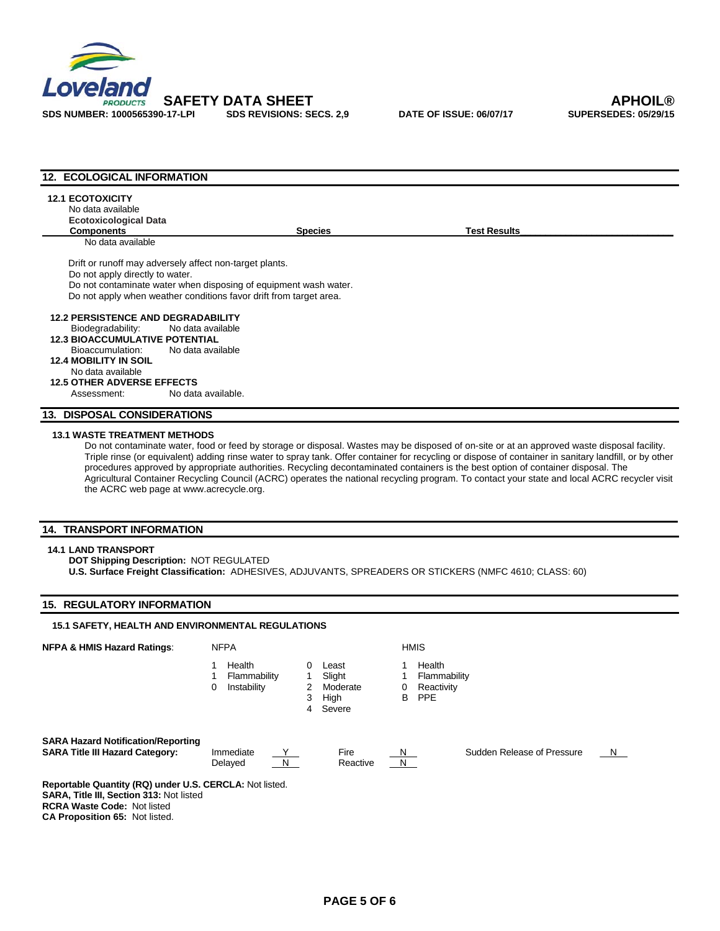

| 12. ECOLOGICAL INFORMATION                                                   |                                                                    |                |                                                                                                                                                                                                                                                                                                                                                                                                                                                                                                                                                                                            |  |
|------------------------------------------------------------------------------|--------------------------------------------------------------------|----------------|--------------------------------------------------------------------------------------------------------------------------------------------------------------------------------------------------------------------------------------------------------------------------------------------------------------------------------------------------------------------------------------------------------------------------------------------------------------------------------------------------------------------------------------------------------------------------------------------|--|
| <b>12.1 ECOTOXICITY</b><br>No data available<br><b>Ecotoxicological Data</b> |                                                                    |                |                                                                                                                                                                                                                                                                                                                                                                                                                                                                                                                                                                                            |  |
| <b>Components</b>                                                            |                                                                    | <b>Species</b> | <b>Test Results</b>                                                                                                                                                                                                                                                                                                                                                                                                                                                                                                                                                                        |  |
| No data available                                                            |                                                                    |                |                                                                                                                                                                                                                                                                                                                                                                                                                                                                                                                                                                                            |  |
|                                                                              | Drift or runoff may adversely affect non-target plants.            |                |                                                                                                                                                                                                                                                                                                                                                                                                                                                                                                                                                                                            |  |
| Do not apply directly to water.                                              |                                                                    |                |                                                                                                                                                                                                                                                                                                                                                                                                                                                                                                                                                                                            |  |
|                                                                              | Do not contaminate water when disposing of equipment wash water.   |                |                                                                                                                                                                                                                                                                                                                                                                                                                                                                                                                                                                                            |  |
|                                                                              | Do not apply when weather conditions favor drift from target area. |                |                                                                                                                                                                                                                                                                                                                                                                                                                                                                                                                                                                                            |  |
| <b>12.2 PERSISTENCE AND DEGRADABILITY</b>                                    |                                                                    |                |                                                                                                                                                                                                                                                                                                                                                                                                                                                                                                                                                                                            |  |
| Biodegradability:                                                            | No data available                                                  |                |                                                                                                                                                                                                                                                                                                                                                                                                                                                                                                                                                                                            |  |
| <b>12.3 BIOACCUMULATIVE POTENTIAL</b>                                        |                                                                    |                |                                                                                                                                                                                                                                                                                                                                                                                                                                                                                                                                                                                            |  |
| Bioaccumulation:                                                             | No data available                                                  |                |                                                                                                                                                                                                                                                                                                                                                                                                                                                                                                                                                                                            |  |
| <b>12.4 MOBILITY IN SOIL</b>                                                 |                                                                    |                |                                                                                                                                                                                                                                                                                                                                                                                                                                                                                                                                                                                            |  |
| No data available                                                            |                                                                    |                |                                                                                                                                                                                                                                                                                                                                                                                                                                                                                                                                                                                            |  |
| <b>12.5 OTHER ADVERSE EFFECTS</b>                                            |                                                                    |                |                                                                                                                                                                                                                                                                                                                                                                                                                                                                                                                                                                                            |  |
| Assessment:                                                                  | No data available.                                                 |                |                                                                                                                                                                                                                                                                                                                                                                                                                                                                                                                                                                                            |  |
| <b>13. DISPOSAL CONSIDERATIONS</b>                                           |                                                                    |                |                                                                                                                                                                                                                                                                                                                                                                                                                                                                                                                                                                                            |  |
| <b>13.1 WASTE TREATMENT METHODS</b>                                          |                                                                    |                | Do not contaminate water, food or feed by storage or disposal. Wastes may be disposed of on-site or at an approved waste disposal facility.<br>Triple rinse (or equivalent) adding rinse water to spray tank. Offer container for recycling or dispose of container in sanitary landfill, or by other<br>procedures approved by appropriate authorities. Recycling decontaminated containers is the best option of container disposal. The<br>Agricultural Container Recycling Council (ACRC) operates the national recycling program. To contact your state and local ACRC recycler visit |  |

the ACRC web page at www.acrecycle.org.

## **14. TRANSPORT INFORMATION**

#### **14.1 LAND TRANSPORT**

**DOT Shipping Description:** NOT REGULATED **U.S. Surface Freight Classification:** ADHESIVES, ADJUVANTS, SPREADERS OR STICKERS (NMFC 4610; CLASS: 60)

## **15. REGULATORY INFORMATION**

# **15.1 SAFETY, HEALTH AND ENVIRONMENTAL REGULATIONS NFPA & HMIS Hazard Ratings:** NFPA **NETA HMIS**

| 1 | Health |
|---|--------|
|   |        |

- 1 Flammability 1 Slight 1 Flammability
- 0 Instability 2 Moderate 0 Reactivity<br>3 High B PPE
	- 4 Severe
- 
- 0 Least 1 Health
	-
	-
- 
- 3 High B PPE
- **SARA Hazard Notification/Reporting**

**SARA Title III Hazard Category:** Immediate <u>Y</u> Fire N Sudden Release of Pressure N

Delayed <u>N</u><br>
Notative N

**Reportable Quantity (RQ) under U.S. CERCLA:** Not listed. **SARA, Title III, Section 313:** Not listed **RCRA Waste Code:** Not listed **CA Proposition 65:** Not listed.